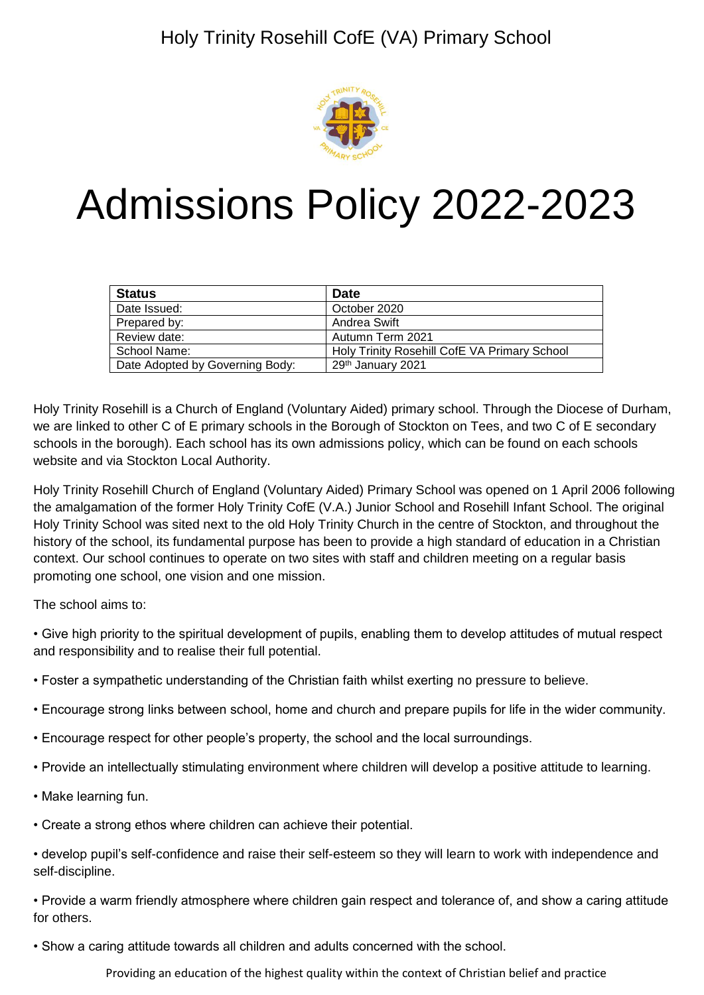

# Admissions Policy 2022-2023

| <b>Status</b>                   | <b>Date</b>                                  |
|---------------------------------|----------------------------------------------|
| Date Issued:                    | October 2020                                 |
| Prepared by:                    | Andrea Swift                                 |
| Review date:                    | Autumn Term 2021                             |
| School Name:                    | Holy Trinity Rosehill CofE VA Primary School |
| Date Adopted by Governing Body: | 29th January 2021                            |

Holy Trinity Rosehill is a Church of England (Voluntary Aided) primary school. Through the Diocese of Durham, we are linked to other C of E primary schools in the Borough of Stockton on Tees, and two C of E secondary schools in the borough). Each school has its own admissions policy, which can be found on each schools website and via Stockton Local Authority.

Holy Trinity Rosehill Church of England (Voluntary Aided) Primary School was opened on 1 April 2006 following the amalgamation of the former Holy Trinity CofE (V.A.) Junior School and Rosehill Infant School. The original Holy Trinity School was sited next to the old Holy Trinity Church in the centre of Stockton, and throughout the history of the school, its fundamental purpose has been to provide a high standard of education in a Christian context. Our school continues to operate on two sites with staff and children meeting on a regular basis promoting one school, one vision and one mission.

The school aims to:

- Give high priority to the spiritual development of pupils, enabling them to develop attitudes of mutual respect and responsibility and to realise their full potential.
- Foster a sympathetic understanding of the Christian faith whilst exerting no pressure to believe.
- Encourage strong links between school, home and church and prepare pupils for life in the wider community.
- Encourage respect for other people's property, the school and the local surroundings.
- Provide an intellectually stimulating environment where children will develop a positive attitude to learning.
- Make learning fun.
- Create a strong ethos where children can achieve their potential.
- develop pupil's self-confidence and raise their self-esteem so they will learn to work with independence and self-discipline.

• Provide a warm friendly atmosphere where children gain respect and tolerance of, and show a caring attitude for others.

• Show a caring attitude towards all children and adults concerned with the school.

Providing an education of the highest quality within the context of Christian belief and practice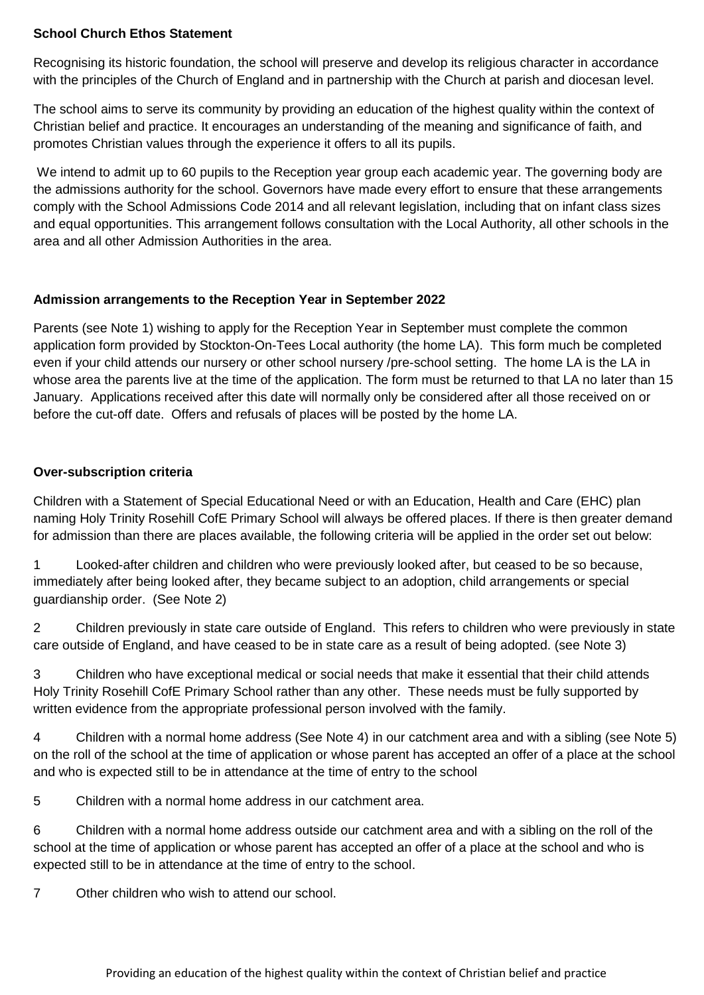## **School Church Ethos Statement**

Recognising its historic foundation, the school will preserve and develop its religious character in accordance with the principles of the Church of England and in partnership with the Church at parish and diocesan level.

The school aims to serve its community by providing an education of the highest quality within the context of Christian belief and practice. It encourages an understanding of the meaning and significance of faith, and promotes Christian values through the experience it offers to all its pupils.

We intend to admit up to 60 pupils to the Reception year group each academic year. The governing body are the admissions authority for the school. Governors have made every effort to ensure that these arrangements comply with the School Admissions Code 2014 and all relevant legislation, including that on infant class sizes and equal opportunities. This arrangement follows consultation with the Local Authority, all other schools in the area and all other Admission Authorities in the area.

## **Admission arrangements to the Reception Year in September 2022**

Parents (see Note 1) wishing to apply for the Reception Year in September must complete the common application form provided by Stockton-On-Tees Local authority (the home LA). This form much be completed even if your child attends our nursery or other school nursery /pre-school setting. The home LA is the LA in whose area the parents live at the time of the application. The form must be returned to that LA no later than 15 January. Applications received after this date will normally only be considered after all those received on or before the cut-off date. Offers and refusals of places will be posted by the home LA.

## **Over-subscription criteria**

Children with a Statement of Special Educational Need or with an Education, Health and Care (EHC) plan naming Holy Trinity Rosehill CofE Primary School will always be offered places. If there is then greater demand for admission than there are places available, the following criteria will be applied in the order set out below:

1 Looked-after children and children who were previously looked after, but ceased to be so because, immediately after being looked after, they became subject to an adoption, child arrangements or special guardianship order. (See Note 2)

2 Children previously in state care outside of England. This refers to children who were previously in state care outside of England, and have ceased to be in state care as a result of being adopted. (see Note 3)

3 Children who have exceptional medical or social needs that make it essential that their child attends Holy Trinity Rosehill CofE Primary School rather than any other. These needs must be fully supported by written evidence from the appropriate professional person involved with the family.

4 Children with a normal home address (See Note 4) in our catchment area and with a sibling (see Note 5) on the roll of the school at the time of application or whose parent has accepted an offer of a place at the school and who is expected still to be in attendance at the time of entry to the school

5 Children with a normal home address in our catchment area.

6 Children with a normal home address outside our catchment area and with a sibling on the roll of the school at the time of application or whose parent has accepted an offer of a place at the school and who is expected still to be in attendance at the time of entry to the school.

7 Other children who wish to attend our school.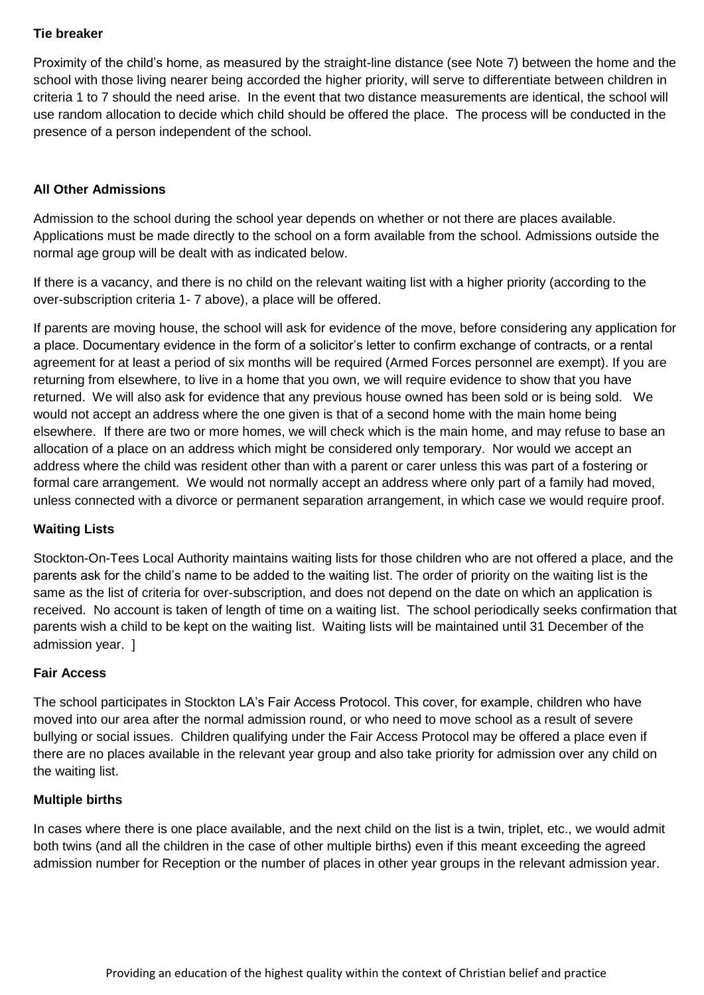# **Tie breaker**

Proximity of the child's home, as measured by the straight-line distance (see Note 7) between the home and the school with those living nearer being accorded the higher priority, will serve to differentiate between children in criteria 1 to 7 should the need arise. In the event that two distance measurements are identical, the school will use random allocation to decide which child should be offered the place. The process will be conducted in the presence of a person independent of the school.

#### **All Other Admissions**

Admission to the school during the school year depends on whether or not there are places available. Applications must be made directly to the school on a form available from the school. Admissions outside the normal age group will be dealt with as indicated below.

If there is a vacancy, and there is no child on the relevant waiting list with a higher priority (according to the over-subscription criteria 1- 7 above), a place will be offered.

If parents are moving house, the school will ask for evidence of the move, before considering any application for a place. Documentary evidence in the form of a solicitor's letter to confirm exchange of contracts, or a rental agreement for at least a period of six months will be required (Armed Forces personnel are exempt). If you are returning from elsewhere, to live in a home that you own, we will require evidence to show that you have returned. We will also ask for evidence that any previous house owned has been sold or is being sold. We would not accept an address where the one given is that of a second home with the main home being elsewhere. If there are two or more homes, we will check which is the main home, and may refuse to base an allocation of a place on an address which might be considered only temporary. Nor would we accept an address where the child was resident other than with a parent or carer unless this was part of a fostering or formal care arrangement. We would not normally accept an address where only part of a family had moved, unless connected with a divorce or permanent separation arrangement, in which case we would require proof.

# **Waiting Lists**

Stockton-On-Tees Local Authority maintains waiting lists for those children who are not offered a place, and the parents ask for the child's name to be added to the waiting list. The order of priority on the waiting list is the same as the list of criteria for over-subscription, and does not depend on the date on which an application is received. No account is taken of length of time on a waiting list. The school periodically seeks confirmation that parents wish a child to be kept on the waiting list. Waiting lists will be maintained until 31 December of the admission year. ]

#### **Fair Access**

The school participates in Stockton LA's Fair Access Protocol. This cover, for example, children who have moved into our area after the normal admission round, or who need to move school as a result of severe bullying or social issues. Children qualifying under the Fair Access Protocol may be offered a place even if there are no places available in the relevant year group and also take priority for admission over any child on the waiting list.

#### **Multiple births**

In cases where there is one place available, and the next child on the list is a twin, triplet, etc., we would admit both twins (and all the children in the case of other multiple births) even if this meant exceeding the agreed admission number for Reception or the number of places in other year groups in the relevant admission year.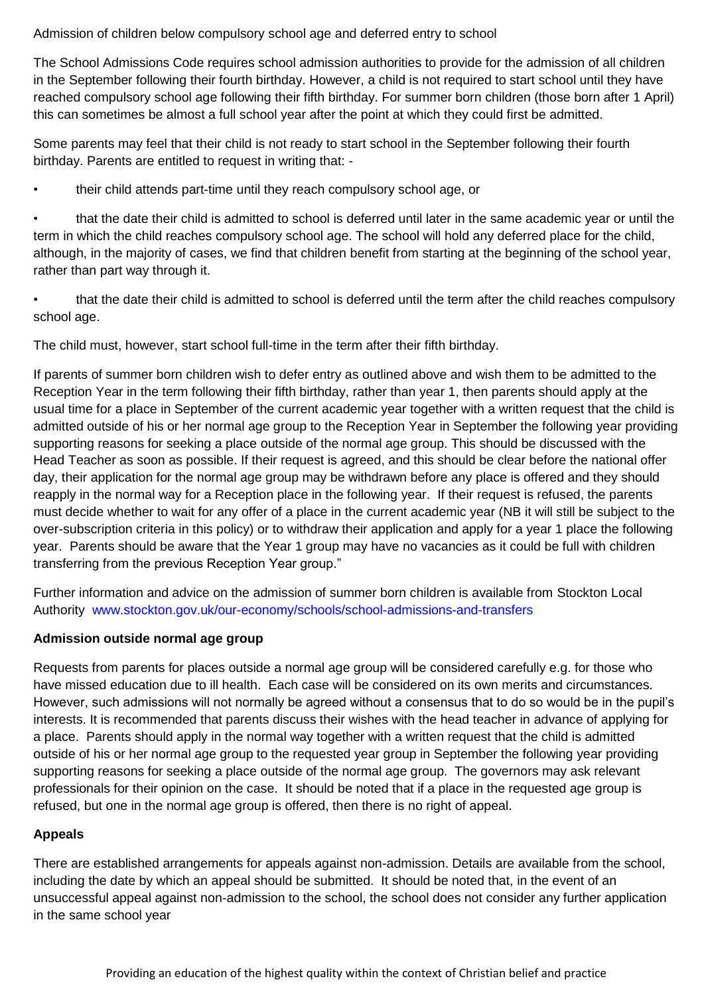Admission of children below compulsory school age and deferred entry to school

The School Admissions Code requires school admission authorities to provide for the admission of all children in the September following their fourth birthday. However, a child is not required to start school until they have reached compulsory school age following their fifth birthday. For summer born children (those born after 1 April) this can sometimes be almost a full school year after the point at which they could first be admitted.

Some parents may feel that their child is not ready to start school in the September following their fourth birthday. Parents are entitled to request in writing that: -

• their child attends part-time until they reach compulsory school age, or

• that the date their child is admitted to school is deferred until later in the same academic year or until the term in which the child reaches compulsory school age. The school will hold any deferred place for the child, although, in the majority of cases, we find that children benefit from starting at the beginning of the school year, rather than part way through it.

• that the date their child is admitted to school is deferred until the term after the child reaches compulsory school age.

The child must, however, start school full-time in the term after their fifth birthday.

If parents of summer born children wish to defer entry as outlined above and wish them to be admitted to the Reception Year in the term following their fifth birthday, rather than year 1, then parents should apply at the usual time for a place in September of the current academic year together with a written request that the child is admitted outside of his or her normal age group to the Reception Year in September the following year providing supporting reasons for seeking a place outside of the normal age group. This should be discussed with the Head Teacher as soon as possible. If their request is agreed, and this should be clear before the national offer day, their application for the normal age group may be withdrawn before any place is offered and they should reapply in the normal way for a Reception place in the following year. If their request is refused, the parents must decide whether to wait for any offer of a place in the current academic year (NB it will still be subject to the over-subscription criteria in this policy) or to withdraw their application and apply for a year 1 place the following year. Parents should be aware that the Year 1 group may have no vacancies as it could be full with children transferring from the previous Reception Year group."

Further information and advice on the admission of summer born children is available from Stockton Local Authority [www.stockton.gov.uk/our-economy/schools/school-admissions-and-transfers](http://www.stockton.gov.uk/our-economy/schools/school-admissions-and-transfers)

# **Admission outside normal age group**

Requests from parents for places outside a normal age group will be considered carefully e.g. for those who have missed education due to ill health. Each case will be considered on its own merits and circumstances. However, such admissions will not normally be agreed without a consensus that to do so would be in the pupil's interests. It is recommended that parents discuss their wishes with the head teacher in advance of applying for a place. Parents should apply in the normal way together with a written request that the child is admitted outside of his or her normal age group to the requested year group in September the following year providing supporting reasons for seeking a place outside of the normal age group. The governors may ask relevant professionals for their opinion on the case. It should be noted that if a place in the requested age group is refused, but one in the normal age group is offered, then there is no right of appeal.

# **Appeals**

There are established arrangements for appeals against non-admission. Details are available from the school, including the date by which an appeal should be submitted. It should be noted that, in the event of an unsuccessful appeal against non-admission to the school, the school does not consider any further application in the same school year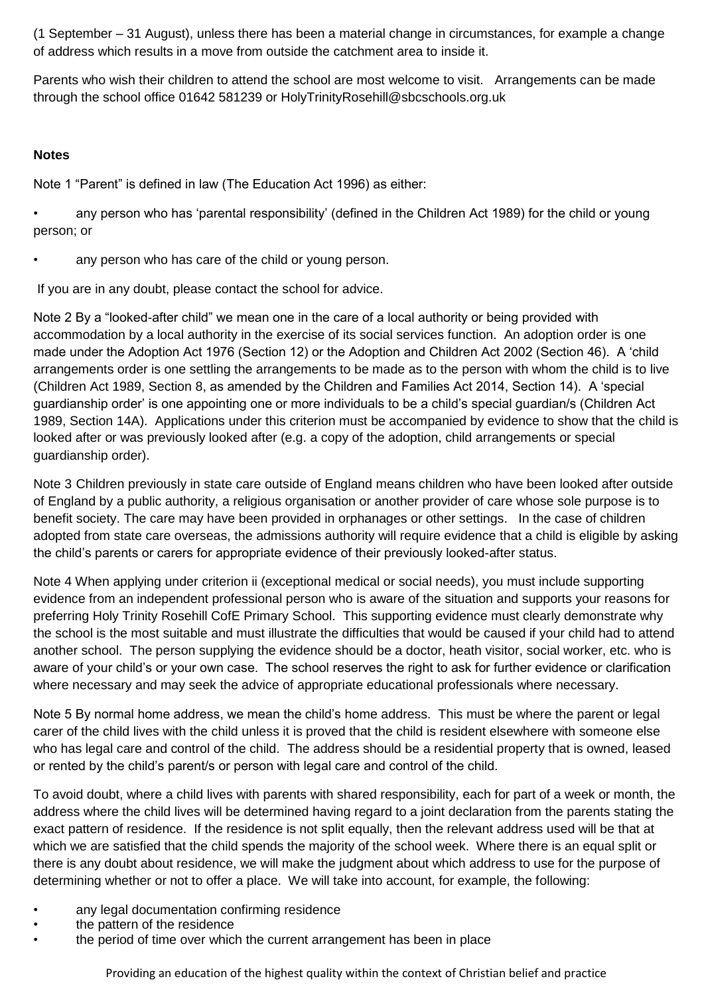(1 September – 31 August), unless there has been a material change in circumstances, for example a change of address which results in a move from outside the catchment area to inside it.

Parents who wish their children to attend the school are most welcome to visit. Arrangements can be made through the school office 01642 581239 or HolyTrinityRosehill@sbcschools.org.uk

## **Notes**

Note 1 "Parent" is defined in law (The Education Act 1996) as either:

• any person who has 'parental responsibility' (defined in the Children Act 1989) for the child or young person; or

any person who has care of the child or young person.

If you are in any doubt, please contact the school for advice.

Note 2 By a "looked-after child" we mean one in the care of a local authority or being provided with accommodation by a local authority in the exercise of its social services function. An adoption order is one made under the Adoption Act 1976 (Section 12) or the Adoption and Children Act 2002 (Section 46). A 'child arrangements order is one settling the arrangements to be made as to the person with whom the child is to live (Children Act 1989, Section 8, as amended by the Children and Families Act 2014, Section 14). A 'special guardianship order' is one appointing one or more individuals to be a child's special guardian/s (Children Act 1989, Section 14A). Applications under this criterion must be accompanied by evidence to show that the child is looked after or was previously looked after (e.g. a copy of the adoption, child arrangements or special guardianship order).

Note 3 Children previously in state care outside of England means children who have been looked after outside of England by a public authority, a religious organisation or another provider of care whose sole purpose is to benefit society. The care may have been provided in orphanages or other settings. In the case of children adopted from state care overseas, the admissions authority will require evidence that a child is eligible by asking the child's parents or carers for appropriate evidence of their previously looked-after status.

Note 4 When applying under criterion ii (exceptional medical or social needs), you must include supporting evidence from an independent professional person who is aware of the situation and supports your reasons for preferring Holy Trinity Rosehill CofE Primary School. This supporting evidence must clearly demonstrate why the school is the most suitable and must illustrate the difficulties that would be caused if your child had to attend another school. The person supplying the evidence should be a doctor, heath visitor, social worker, etc. who is aware of your child's or your own case. The school reserves the right to ask for further evidence or clarification where necessary and may seek the advice of appropriate educational professionals where necessary.

Note 5 By normal home address, we mean the child's home address. This must be where the parent or legal carer of the child lives with the child unless it is proved that the child is resident elsewhere with someone else who has legal care and control of the child. The address should be a residential property that is owned, leased or rented by the child's parent/s or person with legal care and control of the child.

To avoid doubt, where a child lives with parents with shared responsibility, each for part of a week or month, the address where the child lives will be determined having regard to a joint declaration from the parents stating the exact pattern of residence. If the residence is not split equally, then the relevant address used will be that at which we are satisfied that the child spends the majority of the school week. Where there is an equal split or there is any doubt about residence, we will make the judgment about which address to use for the purpose of determining whether or not to offer a place. We will take into account, for example, the following:

- any legal documentation confirming residence
- the pattern of the residence
- the period of time over which the current arrangement has been in place

Providing an education of the highest quality within the context of Christian belief and practice